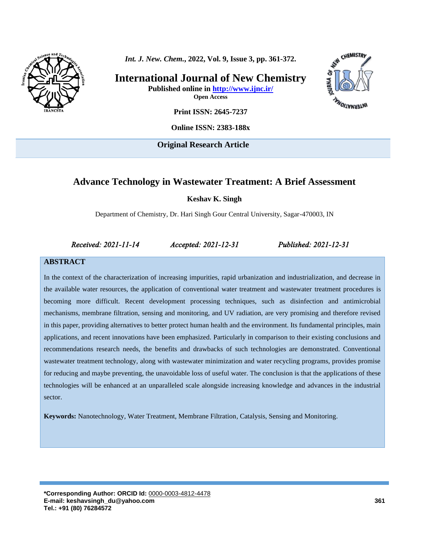

*Int. J. New. Chem.***, 2022, Vol. 9, Issue 3, pp. 361-372.**

**International Journal of New Chemistry Published online in<http://www.ijnc.ir/>**



**Open Access**

**Print ISSN: 2645-7237**

**Online ISSN: 2383-188x**

**Original Research Article** 

## **Advance Technology in Wastewater Treatment: A Brief Assessment**

**Keshav K. Singh**

Department of Chemistry, Dr. Hari Singh Gour Central University, Sagar-470003, IN

*Received: 2021-11-14 Accepted: 2021-12-31 Published: 2021-12-31* 

#### **ABSTRACT**

In the context of the characterization of increasing impurities, rapid urbanization and industrialization, and decrease in the available water resources, the application of conventional water treatment and wastewater treatment procedures is becoming more difficult. Recent development processing techniques, such as disinfection and antimicrobial mechanisms, membrane filtration, sensing and monitoring, and UV radiation, are very promising and therefore revised in this paper, providing alternatives to better protect human health and the environment. Its fundamental principles, main applications, and recent innovations have been emphasized. Particularly in comparison to their existing conclusions and recommendations research needs, the benefits and drawbacks of such technologies are demonstrated. Conventional wastewater treatment technology, along with wastewater minimization and water recycling programs, provides promise for reducing and maybe preventing, the unavoidable loss of useful water. The conclusion is that the applications of these technologies will be enhanced at an unparalleled scale alongside increasing knowledge and advances in the industrial sector.

**Keywords:** Nanotechnology, Water Treatment, Membrane Filtration, Catalysis, Sensing and Monitoring.

**\*Corresponding Author: ORCID Id:** [0000-0003-4812-4478](https://www.orcid.org/0000-0003-4812-4478) **E-mail: keshavsingh\_du@yahoo.com Tel.: +91 (80) 76284572**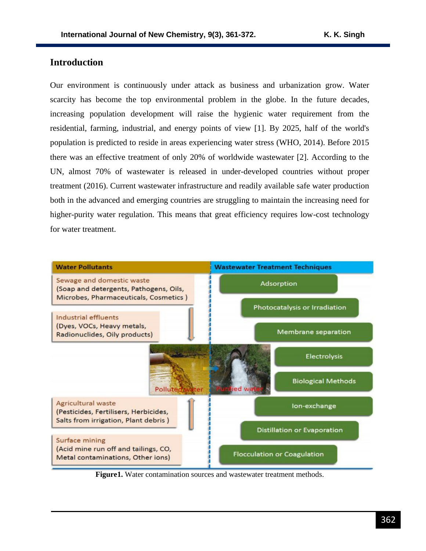## **Introduction**

Our environment is continuously under attack as business and urbanization grow. Water scarcity has become the top environmental problem in the globe. In the future decades, increasing population development will raise the hygienic water requirement from the residential, farming, industrial, and energy points of view [1]. By 2025, half of the world's population is predicted to reside in areas experiencing water stress (WHO, 2014). Before 2015 there was an effective treatment of only 20% of worldwide wastewater [2]. According to the UN, almost 70% of wastewater is released in under-developed countries without proper treatment (2016). Current wastewater infrastructure and readily available safe water production both in the advanced and emerging countries are struggling to maintain the increasing need for higher-purity water regulation. This means that great efficiency requires low-cost technology for water treatment.



**Figure1.** Water contamination sources and wastewater treatment methods.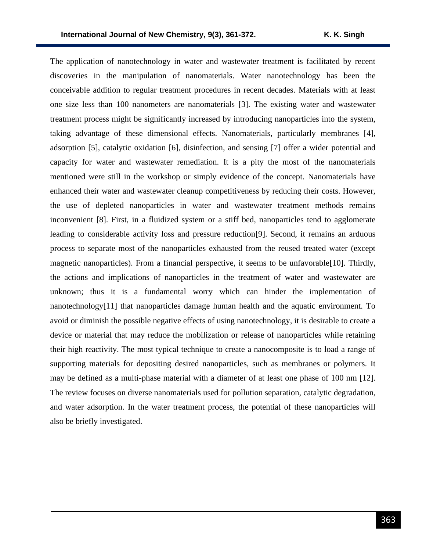The application of nanotechnology in water and wastewater treatment is facilitated by recent discoveries in the manipulation of nanomaterials. Water nanotechnology has been the conceivable addition to regular treatment procedures in recent decades. Materials with at least one size less than 100 nanometers are nanomaterials [3]. The existing water and wastewater treatment process might be significantly increased by introducing nanoparticles into the system, taking advantage of these dimensional effects. Nanomaterials, particularly membranes [4], adsorption [5], catalytic oxidation [6], disinfection, and sensing [7] offer a wider potential and capacity for water and wastewater remediation. It is a pity the most of the nanomaterials mentioned were still in the workshop or simply evidence of the concept. Nanomaterials have enhanced their water and wastewater cleanup competitiveness by reducing their costs. However, the use of depleted nanoparticles in water and wastewater treatment methods remains inconvenient [8]. First, in a fluidized system or a stiff bed, nanoparticles tend to agglomerate leading to considerable activity loss and pressure reduction[9]. Second, it remains an arduous process to separate most of the nanoparticles exhausted from the reused treated water (except magnetic nanoparticles). From a financial perspective, it seems to be unfavorable[10]. Thirdly, the actions and implications of nanoparticles in the treatment of water and wastewater are unknown; thus it is a fundamental worry which can hinder the implementation of nanotechnology[11] that nanoparticles damage human health and the aquatic environment. To avoid or diminish the possible negative effects of using nanotechnology, it is desirable to create a device or material that may reduce the mobilization or release of nanoparticles while retaining their high reactivity. The most typical technique to create a nanocomposite is to load a range of supporting materials for depositing desired nanoparticles, such as membranes or polymers. It may be defined as a multi-phase material with a diameter of at least one phase of 100 nm [12]. The review focuses on diverse nanomaterials used for pollution separation, catalytic degradation, and water adsorption. In the water treatment process, the potential of these nanoparticles will also be briefly investigated.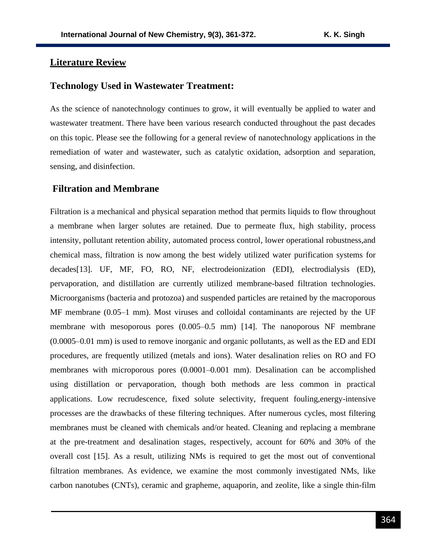### **Literature Review**

#### **Technology Used in Wastewater Treatment:**

As the science of nanotechnology continues to grow, it will eventually be applied to water and wastewater treatment. There have been various research conducted throughout the past decades on this topic. Please see the following for a general review of nanotechnology applications in the remediation of water and wastewater, such as catalytic oxidation, adsorption and separation, sensing, and disinfection.

## **Filtration and Membrane**

Filtration is a mechanical and physical separation method that permits liquids to flow throughout a membrane when larger solutes are retained. Due to permeate flux, high stability, process intensity, pollutant retention ability, automated process control, lower operational robustness,and chemical mass, filtration is now among the best widely utilized water purification systems for decades[13]. UF, MF, FO, RO, NF, electrodeionization (EDI), electrodialysis (ED), pervaporation, and distillation are currently utilized membrane-based filtration technologies. Microorganisms (bacteria and protozoa) and suspended particles are retained by the macroporous MF membrane (0.05–1 mm). Most viruses and colloidal contaminants are rejected by the UF membrane with mesoporous pores (0.005–0.5 mm) [14]. The nanoporous NF membrane (0.0005–0.01 mm) is used to remove inorganic and organic pollutants, as well as the ED and EDI procedures, are frequently utilized (metals and ions). Water desalination relies on RO and FO membranes with microporous pores (0.0001–0.001 mm). Desalination can be accomplished using distillation or pervaporation, though both methods are less common in practical applications. Low recrudescence, fixed solute selectivity, frequent fouling,energy-intensive processes are the drawbacks of these filtering techniques. After numerous cycles, most filtering membranes must be cleaned with chemicals and/or heated. Cleaning and replacing a membrane at the pre-treatment and desalination stages, respectively, account for 60% and 30% of the overall cost [15]. As a result, utilizing NMs is required to get the most out of conventional filtration membranes. As evidence, we examine the most commonly investigated NMs, like carbon nanotubes (CNTs), ceramic and grapheme, aquaporin, and zeolite, like a single thin-film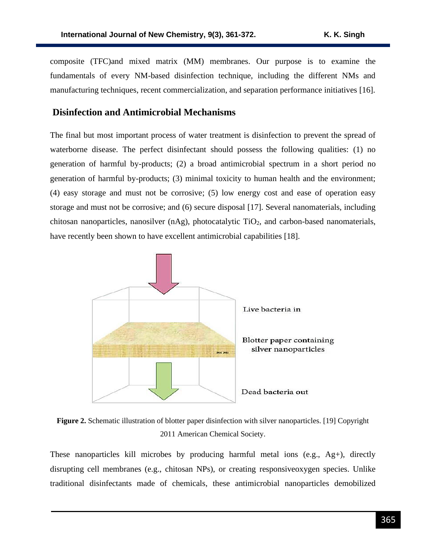composite (TFC)and mixed matrix (MM) membranes. Our purpose is to examine the fundamentals of every NM-based disinfection technique, including the different NMs and manufacturing techniques, recent commercialization, and separation performance initiatives [16].

## **Disinfection and Antimicrobial Mechanisms**

The final but most important process of water treatment is disinfection to prevent the spread of waterborne disease. The perfect disinfectant should possess the following qualities: (1) no generation of harmful by-products; (2) a broad antimicrobial spectrum in a short period no generation of harmful by-products; (3) minimal toxicity to human health and the environment; (4) easy storage and must not be corrosive; (5) low energy cost and ease of operation easy storage and must not be corrosive; and (6) secure disposal [17]. Several nanomaterials, including chitosan nanoparticles, nanosilver  $(nAg)$ , photocatalytic TiO<sub>2</sub>, and carbon-based nanomaterials, have recently been shown to have excellent antimicrobial capabilities [18].



**Figure 2.** Schematic illustration of blotter paper disinfection with silver nanoparticles. [19] Copyright 2011 American Chemical Society.

These nanoparticles kill microbes by producing harmful metal ions (e.g., Ag+), directly disrupting cell membranes (e.g., chitosan NPs), or creating responsiveoxygen species. Unlike traditional disinfectants made of chemicals, these antimicrobial nanoparticles demobilized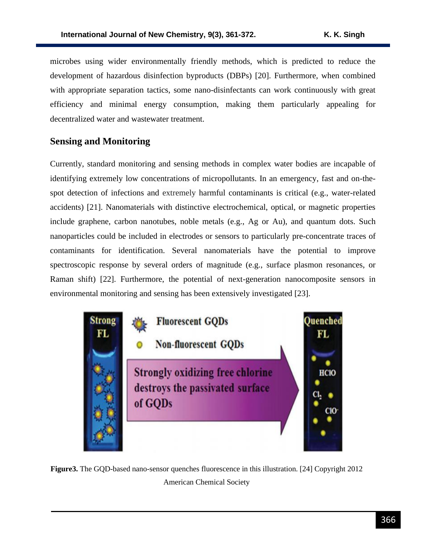microbes using wider environmentally friendly methods, which is predicted to reduce the development of hazardous disinfection byproducts (DBPs) [20]. Furthermore, when combined with appropriate separation tactics, some nano-disinfectants can work continuously with great efficiency and minimal energy consumption, making them particularly appealing for decentralized water and wastewater treatment.

# **Sensing and Monitoring**

Currently, standard monitoring and sensing methods in complex water bodies are incapable of identifying extremely low concentrations of micropollutants. In an emergency, fast and on-thespot detection of infections and extremely harmful contaminants is critical (e.g., water-related accidents) [21]. Nanomaterials with distinctive electrochemical, optical, or magnetic properties include graphene, carbon nanotubes, noble metals (e.g., Ag or Au), and quantum dots. Such nanoparticles could be included in electrodes or sensors to particularly pre-concentrate traces of contaminants for identification. Several nanomaterials have the potential to improve spectroscopic response by several orders of magnitude (e.g., surface plasmon resonances, or Raman shift) [22]. Furthermore, the potential of next-generation nanocomposite sensors in environmental monitoring and sensing has been extensively investigated [23].



**Figure3.** The GQD-based nano-sensor quenches fluorescence in this illustration. [24] Copyright 2012 American Chemical Society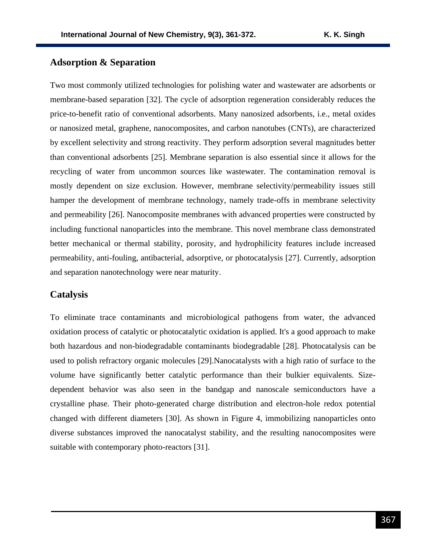# **Adsorption & Separation**

Two most commonly utilized technologies for polishing water and wastewater are adsorbents or membrane-based separation [32]. The cycle of adsorption regeneration considerably reduces the price-to-benefit ratio of conventional adsorbents. Many nanosized adsorbents, i.e., metal oxides or nanosized metal, graphene, nanocomposites, and carbon nanotubes (CNTs), are characterized by excellent selectivity and strong reactivity. They perform adsorption several magnitudes better than conventional adsorbents [25]. Membrane separation is also essential since it allows for the recycling of water from uncommon sources like wastewater. The contamination removal is mostly dependent on size exclusion. However, membrane selectivity/permeability issues still hamper the development of membrane technology, namely trade-offs in membrane selectivity and permeability [26]. Nanocomposite membranes with advanced properties were constructed by including functional nanoparticles into the membrane. This novel membrane class demonstrated better mechanical or thermal stability, porosity, and hydrophilicity features include increased permeability, anti-fouling, antibacterial, adsorptive, or photocatalysis [27]. Currently, adsorption and separation nanotechnology were near maturity.

#### **Catalysis**

To eliminate trace contaminants and microbiological pathogens from water, the advanced oxidation process of catalytic or photocatalytic oxidation is applied. It's a good approach to make both hazardous and non-biodegradable contaminants biodegradable [28]. Photocatalysis can be used to polish refractory organic molecules [29].Nanocatalysts with a high ratio of surface to the volume have significantly better catalytic performance than their bulkier equivalents. Sizedependent behavior was also seen in the bandgap and nanoscale semiconductors have a crystalline phase. Their photo-generated charge distribution and electron-hole redox potential changed with different diameters [30]. As shown in Figure 4, immobilizing nanoparticles onto diverse substances improved the nanocatalyst stability, and the resulting nanocomposites were suitable with contemporary photo-reactors [31].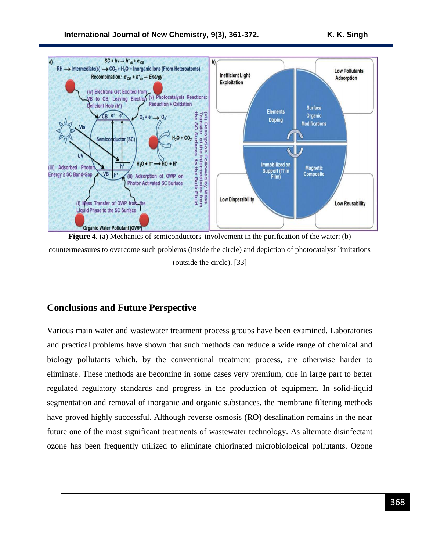

**Figure 4.** (a) Mechanics of semiconductors' involvement in the purification of the water; (b) countermeasures to overcome such problems (inside the circle) and depiction of photocatalyst limitations (outside the circle). [33]

# **Conclusions and Future Perspective**

Various main water and wastewater treatment process groups have been examined. Laboratories and practical problems have shown that such methods can reduce a wide range of chemical and biology pollutants which, by the conventional treatment process, are otherwise harder to eliminate. These methods are becoming in some cases very premium, due in large part to better regulated regulatory standards and progress in the production of equipment. In solid-liquid segmentation and removal of inorganic and organic substances, the membrane filtering methods have proved highly successful. Although reverse osmosis (RO) desalination remains in the near future one of the most significant treatments of wastewater technology. As alternate disinfectant ozone has been frequently utilized to eliminate chlorinated microbiological pollutants. Ozone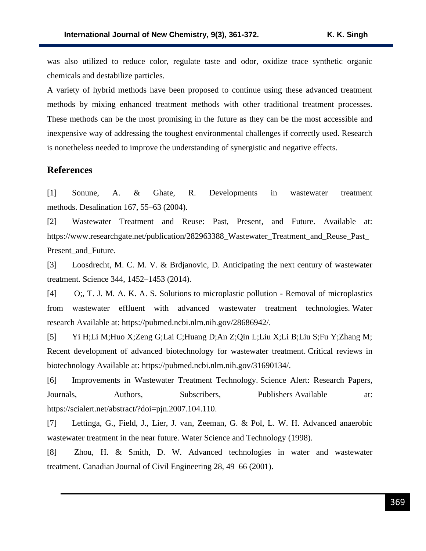was also utilized to reduce color, regulate taste and odor, oxidize trace synthetic organic chemicals and destabilize particles.

A variety of hybrid methods have been proposed to continue using these advanced treatment methods by mixing enhanced treatment methods with other traditional treatment processes. These methods can be the most promising in the future as they can be the most accessible and inexpensive way of addressing the toughest environmental challenges if correctly used. Research is nonetheless needed to improve the understanding of synergistic and negative effects.

## **References**

[1] Sonune, A. & Ghate, R. Developments in wastewater treatment methods. Desalination 167, 55–63 (2004).

[2] Wastewater Treatment and Reuse: Past, Present, and Future. Available at: https://www.researchgate.net/publication/282963388\_Wastewater\_Treatment\_and\_Reuse\_Past\_ Present\_and\_Future.

[3] Loosdrecht, M. C. M. V. & Brdjanovic, D. Anticipating the next century of wastewater treatment. Science 344, 1452–1453 (2014).

[4] O;, T. J. M. A. K. A. S. Solutions to microplastic pollution - Removal of microplastics from wastewater effluent with advanced wastewater treatment technologies. Water research Available at: https://pubmed.ncbi.nlm.nih.gov/28686942/.

[5] Yi H;Li M;Huo X;Zeng G;Lai C;Huang D;An Z;Qin L;Liu X;Li B;Liu S;Fu Y;Zhang M; Recent development of advanced biotechnology for wastewater treatment. Critical reviews in biotechnology Available at: https://pubmed.ncbi.nlm.nih.gov/31690134/.

[6] Improvements in Wastewater Treatment Technology. Science Alert: Research Papers, Journals, Authors, Subscribers, Publishers Available at: https://scialert.net/abstract/?doi=pjn.2007.104.110.

[7] Lettinga, G., Field, J., Lier, J. van, Zeeman, G. & Pol, L. W. H. Advanced anaerobic wastewater treatment in the near future. Water Science and Technology (1998).

[8] Zhou, H. & Smith, D. W. Advanced technologies in water and wastewater treatment. Canadian Journal of Civil Engineering 28, 49–66 (2001).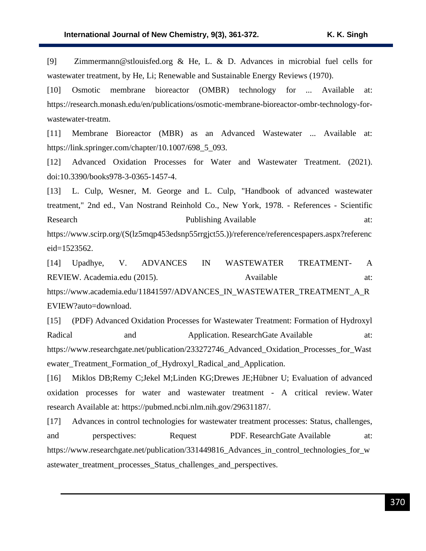[9] Zimmermann@stlouisfed.org & He, L. & D. Advances in microbial fuel cells for wastewater treatment, by He, Li; Renewable and Sustainable Energy Reviews (1970).

[10] Osmotic membrane bioreactor (OMBR) technology for ... Available at: https://research.monash.edu/en/publications/osmotic-membrane-bioreactor-ombr-technology-forwastewater-treatm.

[11] Membrane Bioreactor (MBR) as an Advanced Wastewater ... Available at: https://link.springer.com/chapter/10.1007/698\_5\_093.

[12] Advanced Oxidation Processes for Water and Wastewater Treatment. (2021). doi:10.3390/books978-3-0365-1457-4.

[13] L. Culp, Wesner, M. George and L. Culp, "Handbook of advanced wastewater treatment," 2nd ed., Van Nostrand Reinhold Co., New York, 1978. - References - Scientific Research **Publishing Available** at:

https://www.scirp.org/(S(lz5mqp453edsnp55rrgjct55.))/reference/referencespapers.aspx?referenc eid=1523562.

[14] Upadhye, V. ADVANCES IN WASTEWATER TREATMENT- A REVIEW. Academia.edu (2015).  $\qquad \qquad \qquad \qquad \qquad \qquad \qquad \qquad \qquad \qquad \text{Available} \qquad \qquad \qquad \text{at:}$ https://www.academia.edu/11841597/ADVANCES\_IN\_WASTEWATER\_TREATMENT\_A\_R EVIEW?auto=download.

[15] (PDF) Advanced Oxidation Processes for Wastewater Treatment: Formation of Hydroxyl Radical and Application. ResearchGate Available at: https://www.researchgate.net/publication/233272746 Advanced Oxidation Processes for Wast ewater\_Treatment\_Formation\_of\_Hydroxyl\_Radical\_and\_Application.

[16] Miklos DB;Remy C;Jekel M;Linden KG;Drewes JE;Hübner U; Evaluation of advanced oxidation processes for water and wastewater treatment - A critical review. Water research Available at: https://pubmed.ncbi.nlm.nih.gov/29631187/.

[17] Advances in control technologies for wastewater treatment processes: Status, challenges, and perspectives: Request PDF. ResearchGate Available at: https://www.researchgate.net/publication/331449816\_Advances\_in\_control\_technologies\_for\_w astewater\_treatment\_processes\_Status\_challenges\_and\_perspectives.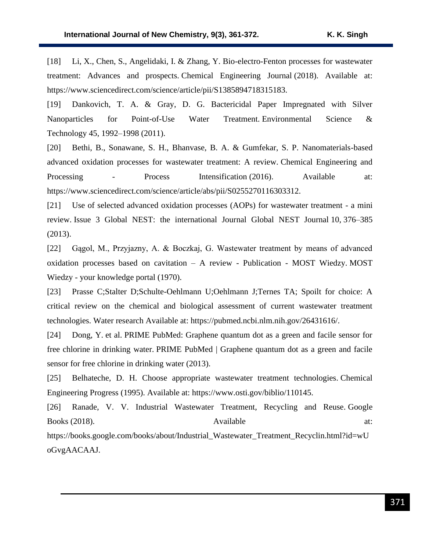[18] Li, X., Chen, S., Angelidaki, I. & Zhang, Y. Bio-electro-Fenton processes for wastewater treatment: Advances and prospects. Chemical Engineering Journal (2018). Available at: https://www.sciencedirect.com/science/article/pii/S1385894718315183.

[19] Dankovich, T. A. & Gray, D. G. Bactericidal Paper Impregnated with Silver Nanoparticles for Point-of-Use Water Treatment. Environmental Science & Technology 45, 1992–1998 (2011).

[20] Bethi, B., Sonawane, S. H., Bhanvase, B. A. & Gumfekar, S. P. Nanomaterials-based advanced oxidation processes for wastewater treatment: A review. Chemical Engineering and Processing - Process Intensification (2016). Available at: https://www.sciencedirect.com/science/article/abs/pii/S0255270116303312.

[21] Use of selected advanced oxidation processes (AOPs) for wastewater treatment - a mini review. Issue 3 Global NEST: the international Journal Global NEST Journal 10, 376–385 (2013).

[22] Gągol, M., Przyjazny, A. & Boczkaj, G. Wastewater treatment by means of advanced oxidation processes based on cavitation – A review - Publication - MOST Wiedzy. MOST Wiedzy - your knowledge portal (1970).

[23] Prasse C;Stalter D;Schulte-Oehlmann U;Oehlmann J;Ternes TA; Spoilt for choice: A critical review on the chemical and biological assessment of current wastewater treatment technologies. Water research Available at: https://pubmed.ncbi.nlm.nih.gov/26431616/.

[24] Dong, Y. et al. PRIME PubMed: Graphene quantum dot as a green and facile sensor for free chlorine in drinking water. PRIME PubMed | Graphene quantum dot as a green and facile sensor for free chlorine in drinking water (2013).

[25] Belhateche, D. H. Choose appropriate wastewater treatment technologies. Chemical Engineering Progress (1995). Available at: https://www.osti.gov/biblio/110145.

[26] Ranade, V. V. Industrial Wastewater Treatment, Recycling and Reuse. Google Books (2018). Available at:

https://books.google.com/books/about/Industrial\_Wastewater\_Treatment\_Recyclin.html?id=wU oGvgAACAAJ.